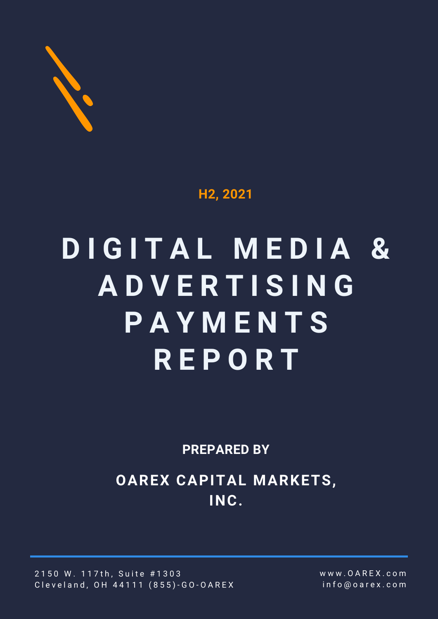

### **H2, 2021**

# **D I G I T A L M E D I A & A D V E R T I S I N G P A Y M E N T S R E P O R T**

**PREPARED BY**

**OAREX CAPITAL MARKETS, INC.**

2150 W. 117th, Suite #1303 Cleveland, OH 44111 (855)-GO-OAREX w w w . O A R E X . c o m i n f o @ o a r e x . c o m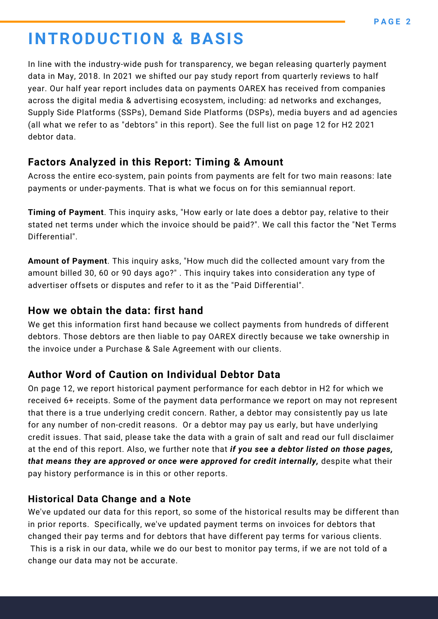# **INTRODUCTION & BASIS**

In line with the industry-wide push for transparency, we began releasing quarterly payment data in May, 2018. In 2021 we shifted our pay study report from quarterly reviews to half year. Our half year report includes data on payments OAREX has received from companies across the digital media & advertising ecosystem, including: ad networks and exchanges, Supply Side Platforms (SSPs), Demand Side Platforms (DSPs), media buyers and ad agencies (all what we refer to as "debtors" in this report). See the full list on page 12 for H2 2021 debtor data.

### **Factors Analyzed in this Report: Timing & Amount**

Across the entire eco-system, pain points from payments are felt for two main reasons: late payments or under-payments. That is what we focus on for this semiannual report.

**Timing of Payment**. This inquiry asks, "How early or late does a debtor pay, relative to their stated net terms under which the invoice should be paid?". We call this factor the "Net Terms Differential".

**Amount of Payment**. This inquiry asks, "How much did the collected amount vary from the amount billed 30, 60 or 90 days ago?" . This inquiry takes into consideration any type of advertiser offsets or disputes and refer to it as the "Paid Differential".

### **How we obtain the data: first hand**

We get this information first hand because we collect payments from hundreds of different debtors. Those debtors are then liable to pay OAREX directly because we take ownership in the invoice under a Purchase & Sale Agreement with our clients.

### **Author Word of Caution on Individual Debtor Data**

On page 12, we report historical payment performance for each debtor in H2 for which we received 6+ receipts. Some of the payment data performance we report on may not represent that there is a true underlying credit concern. Rather, a debtor may consistently pay us late for any number of non-credit reasons. Or a debtor may pay us early, but have underlying credit issues. That said, please take the data with a grain of salt and read our full disclaimer at the end of this report. Also, we further note that *if you see a debtor listed on those pages, that means they are approved or once were approved for credit internally,* despite what their pay history performance is in this or other reports.

### **Historical Data Change and a Note**

We've updated our data for this report, so some of the historical results may be different than in prior reports. Specifically, we've updated payment terms on invoices for debtors that changed their pay terms and for debtors that have different pay terms for various clients. This is a risk in our data, while we do our best to monitor pay terms, if we are not told of a change our data may not be accurate.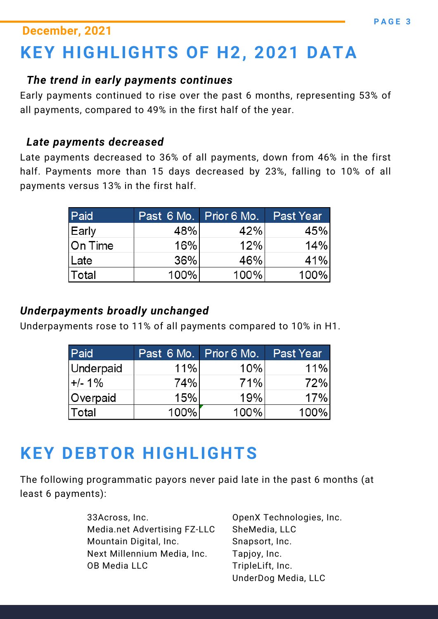### **December, 2021**

# **KEY HIGHLIGHTS OF H2, 2021 DATA**

### *The trend in early payments continues*

Early payments continued to rise over the past 6 months, representing 53% of all payments, compared to 49% in the first half of the year.

### *Late payments decreased*

Late payments decreased to 36% of all payments, down from 46% in the first half. Payments more than 15 days decreased by 23%, falling to 10% of all payments versus 13% in the first half.

| Paid         | Past 6 Mo. Prior 6 Mo. |         | <b>Past Year</b> |
|--------------|------------------------|---------|------------------|
| Early        | 48%                    | 42%     | 45%              |
| On Time      | 16%                    | 12%     | 14%              |
| ∣Late        | 36%                    | 46%     | 41%              |
| <b>Total</b> | 100%                   | $100\%$ | 100%             |

### *Underpayments broadly unchanged*

Underpayments rose to 11% of all payments compared to 10% in H1.

| Paid             | Past 6 Mo. Prior 6 Mo. |      | Past Year |
|------------------|------------------------|------|-----------|
| <b>Underpaid</b> | 11%                    | 10%  | 11%       |
| $+/- 1\%$        | 74%                    | 71%  | 72%       |
| Overpaid         | 15%                    | 19%  | 17%       |
| <b>Total</b>     | 100%                   | 100% | 100%      |

# **KEY DEBTOR HIGHLIGHTS**

The following programmatic payors never paid late in the past 6 months (at least 6 payments):

> 33Across, Inc. Media.net Advertising FZ-LLC Mountain Digital, Inc. Next Millennium Media, Inc. OB Media LLC

OpenX Technologies, Inc. SheMedia, LLC Snapsort, Inc. Tapjoy, Inc. TripleLift, Inc. UnderDog Media, LLC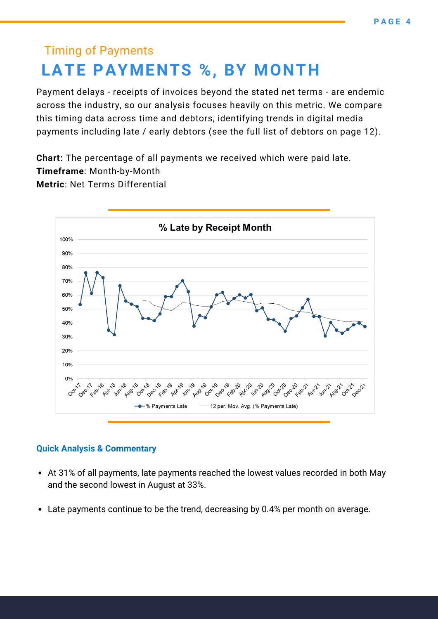### Timing of Payments **LATE PAYMENTS %, BY MONTH**

Payment delays - receipts of invoices beyond the stated net terms - are endemic across the industry, so our analysis focuses heavily on this metric. We compare this timing data across time and debtors, identifying trends in digital media payments including late / early debtors (see the full list of debtors on page 12).

**Chart:** The percentage of all payments we received which were paid late. **Timeframe**: Month-by-Month **Metric**: Net Terms Differential



- At 31% of all payments, late payments reached the lowest values recorded in both May and the second lowest in August at 33%.
- Late payments continue to be the trend, decreasing by 0.4% per month on average.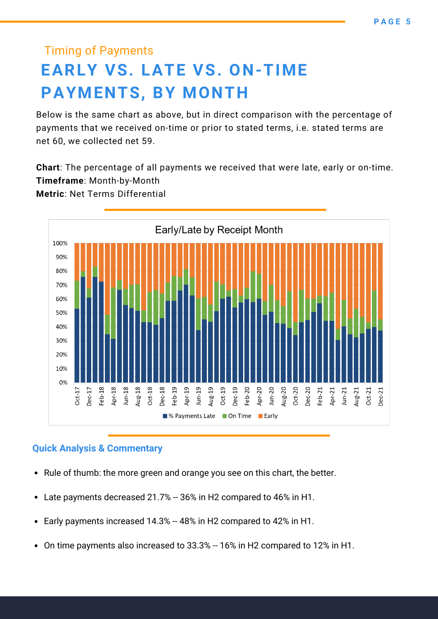# Timing of Payments **EARLY VS. LATE VS. ON-TIME PAYMENTS, BY MONTH**

Below is the same chart as above, but in direct comparison with the percentage of payments that we received on-time or prior to stated terms, i.e. stated terms are net 60, we collected net 59.

**Chart**: The percentage of all payments we received that were late, early or on-time. **Timeframe**: Month-by-Month

**Metric**: Net Terms Differential



- Rule of thumb: the more green and orange you see on this chart, the better.
- Late payments decreased 21.7% -- 36% in H2 compared to 46% in H1.
- Early payments increased 14.3% -- 48% in H2 compared to 42% in H1.  $\bullet$
- On time payments also increased to 33.3% -- 16% in H2 compared to 12% in H1.  $\bullet$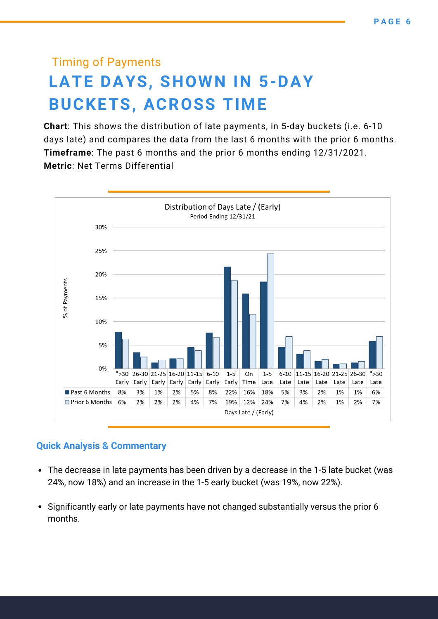# Timing of Payments **LATE DAYS, SHOWN IN 5-DAY BUCKETS, ACROSS TIME**

**Chart**: This shows the distribution of late payments, in 5-day buckets (i.e. 6-10 days late) and compares the data from the last 6 months with the prior 6 months. **Timeframe**: The past 6 months and the prior 6 months ending 12/31/2021. **Metric**: Net Terms Differential



- The decrease in late payments has been driven by a decrease in the 1-5 late bucket (was 24%, now 18%) and an increase in the 1-5 early bucket (was 19%, now 22%).
- Significantly early or late payments have not changed substantially versus the prior 6 months.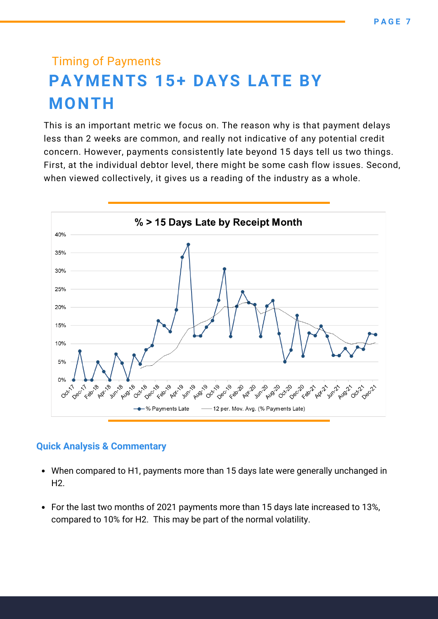# Timing of Payments **PAYMENTS 15+ DAYS LATE BY MONTH**

This is an important metric we focus on. The reason why is that payment delays less than 2 weeks are common, and really not indicative of any potential credit concern. However, payments consistently late beyond 15 days tell us two things. First, at the individual debtor level, there might be some cash flow issues. Second, when viewed collectively, it gives us a reading of the industry as a whole.

![](_page_6_Figure_3.jpeg)

- When compared to H1, payments more than 15 days late were generally unchanged in H2.
- For the last two months of 2021 payments more than 15 days late increased to 13%, compared to 10% for H2. This may be part of the normal volatility.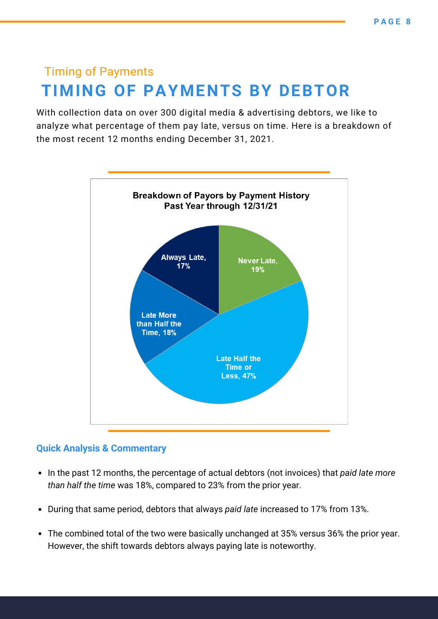### Timing of Payments **TIMING OF PAYMENTS BY DEBTOR**

With collection data on over 300 digital media & advertising debtors, we like to analyze what percentage of them pay late, versus on time. Here is a breakdown of the most recent 12 months ending December 31, 2021.

![](_page_7_Figure_3.jpeg)

- In the past 12 months, the percentage of actual debtors (not invoices) that *paid late more than half the time* was 18%, compared to 23% from the prior year.
- During that same period, debtors that always *paid late* increased to 17% from 13%.
- The combined total of the two were basically unchanged at 35% versus 36% the prior year. However, the shift towards debtors always paying late is noteworthy.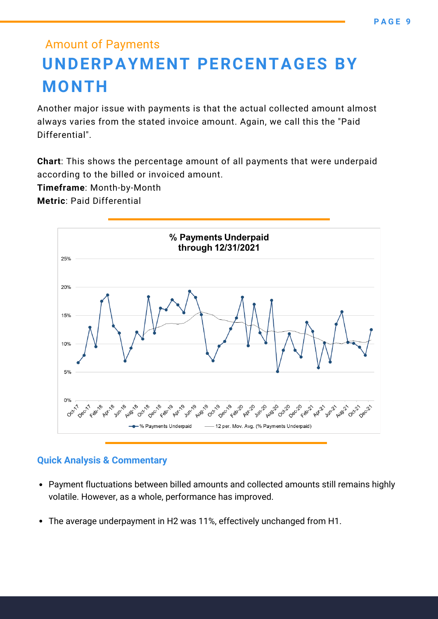## Amount of Payments **UNDERPAYMENT PERCENTAGES BY MONTH**

Another major issue with payments is that the actual collected amount almost always varies from the stated invoice amount. Again, we call this the "Paid Differential".

**Chart**: This shows the percentage amount of all payments that were underpaid according to the billed or invoiced amount.

**Timeframe**: Month-by-Month

**Metric**: Paid Differential

![](_page_8_Figure_6.jpeg)

- Payment fluctuations between billed amounts and collected amounts still remains highly volatile. However, as a whole, performance has improved.
- The average underpayment in H2 was 11%, effectively unchanged from H1.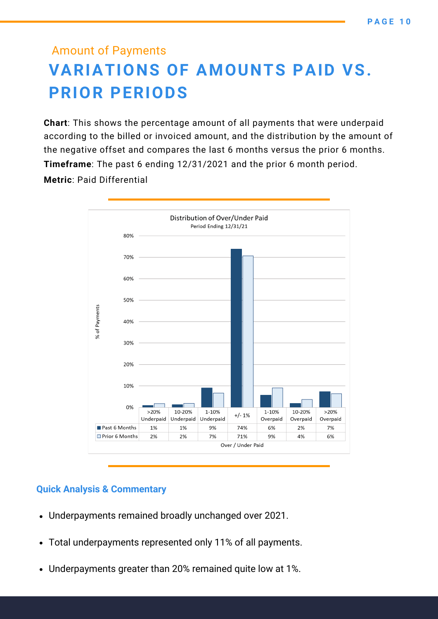### Amount of Payments **VARIATIONS OF AMOUNTS PAID VS. PRIOR PERIODS**

**Chart**: This shows the percentage amount of all payments that were underpaid according to the billed or invoiced amount, and the distribution by the amount of the negative offset and compares the last 6 months versus the prior 6 months. **Timeframe**: The past 6 ending 12/31/2021 and the prior 6 month period. **Metric**: Paid Differential

![](_page_9_Figure_3.jpeg)

- Underpayments remained broadly unchanged over 2021.
- Total underpayments represented only 11% of all payments.
- Underpayments greater than 20% remained quite low at 1%.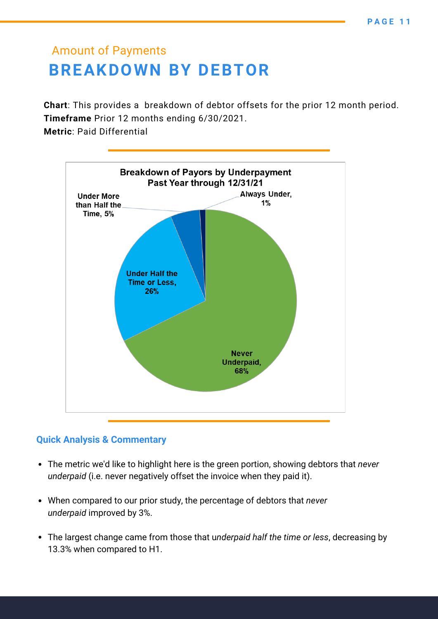### Amount of Payments **BREAKDOWN BY DEBTOR**

**Chart**: This provides a breakdown of debtor offsets for the prior 12 month period. **Timeframe** Prior 12 months ending 6/30/2021.

**Metric**: Paid Differential

![](_page_10_Figure_4.jpeg)

- The metric we'd like to highlight here is the green portion, showing debtors that *never underpaid* (i.e. never negatively offset the invoice when they paid it).
- When compared to our prior study, the percentage of debtors that *never underpaid* improved by 3%.
- The largest change came from those that u*nderpaid half the time or less*, decreasing by 13.3% when compared to H1.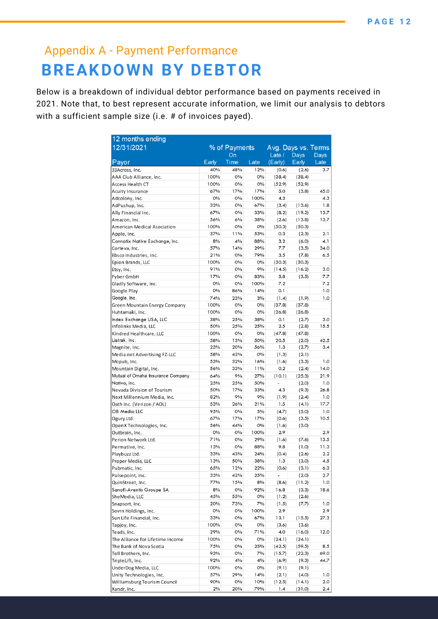### Appendix A - Payment Performance **BREAKDOWN BY DEBTOR**

Below is a breakdown of individual debtor performance based on payments received in 2021. Note that, to best represent accurate information, we limit our analysis to debtors with a sufficient sample size (i.e. # of invoices payed).

| 12 months ending                  |               |      |                     |                          |        |      |  |  |
|-----------------------------------|---------------|------|---------------------|--------------------------|--------|------|--|--|
| 12/31/2021                        | % of Payments |      | Avg. Days vs. Terms |                          |        |      |  |  |
|                                   | On            |      |                     | Late $/$<br>Days         |        | Days |  |  |
| Payor                             | Early         | Time | Late                | (Early)                  | Early  | Late |  |  |
| 33Across, Inc.                    | 40%           | 48%  | 12%                 | (0.6)                    | (2.6)  | 3.7  |  |  |
| AAA Club Alliance, Inc.           | 100%          | 0%   | 0%                  | (38.4)                   | (38.4) |      |  |  |
| Access Health CT                  | 100%          | 0%   | 0%                  | (52.9)                   | (52.9) |      |  |  |
| <b>Acuity Insurance</b>           | 67%           | 17%  | 17%                 | 5.0                      | (3.8)  | 45.0 |  |  |
| Adcolony, Inc.                    | 0%            | 0%   | 100%                | 4.3                      |        | 4.3  |  |  |
| AdPushup, Inc.                    | 33%           | 0%   | 67%                 | (3.4)                    | (13.6) | 1.8  |  |  |
| Ally Financial Inc.               | 67%           | 0%   | 33%                 | (8.2)                    | (19.2) | 13.7 |  |  |
| Amazon, Inc.                      | 56%           | 6%   | 38%                 | (2.6)                    | (13.8) | 13.7 |  |  |
| American Medical Asociation       | 100%          | 0%   | 0%                  | (50.3)                   | (50.3) |      |  |  |
| Apple, Inc.                       | 37%           | 11%  | 53%                 | 0.3                      | (2.3)  | 2.1  |  |  |
| Connatix Native Exchange, Inc.    | 8%            | 4%   | 88%                 | 3.2                      | (6.0)  | 4.1  |  |  |
| Corteva, Inc.                     | 57%           | 14%  | 29%                 | 7.7                      | (3.5)  | 34.0 |  |  |
| Ebsco Industries, Inc.            | 21%           | 0%   | 79%                 | 3.5                      | (7.8)  | 6.5  |  |  |
| Epion Brands, LLC                 | 100%          | 0%   | 0%                  | (30.3)                   | (30.3) |      |  |  |
| Etsy, Inc.                        | 91%           | 0%   | 9%                  | (14.5)                   | (16.2) | 3.0  |  |  |
| Fyber GmbH                        | 17%           | 0%   | 83%                 | 5.8                      | (3.5)  | 7.7  |  |  |
| Gladly Software, Inc.             | $O\%$         | 0%   | 100%                | 7.2                      |        | 7.2  |  |  |
| Google Play                       | 0%            | 86%  | 14%                 | 0.1                      |        | 1.0  |  |  |
| Google, Inc.                      | 74%           | 23%  | 3%                  | (1.4)                    | (1.9)  | 1.0  |  |  |
| Green Mountain Energy Company     | 100%          | 0%   | 0%                  | (37.8)                   | (37.8) |      |  |  |
| Huhtamaki, Inc.                   | 100%          | 0%   | 0%                  | (26.8)                   | (26.8) |      |  |  |
| Index Exchange USA, LLC           | 38%           | 25%  | 38%                 | 0.1                      | (2.7)  | 3.0  |  |  |
| Infolinks Media, LLC              | 50%           | 25%  | 25%                 | 2.5                      | (2.8)  | 15.5 |  |  |
| Kindred Healthcare, LLC           | 100%          | 0%   | 0%                  | (47.8)                   | (47.8) |      |  |  |
| Listrak, Inc.                     | 38%           | 13%  | 50%                 | 20.5                     | (2.0)  | 42.5 |  |  |
| Magnite, Inc.                     | 23%           | 20%  | 56%                 | 1.3                      | (2.7)  | 3.4  |  |  |
| Media.net Advertising FZ-LLC      | 58%           | 42%  | 0%                  | (1.3)                    | (2.1)  |      |  |  |
| Mopub, Inc.                       | 53%           | 32%  | 16%                 | (1.6)                    | (3.3)  | 1.0  |  |  |
| Mountain Digital, Inc.            | 56%           | 33%  | 11%                 | 0.2                      | (2.4)  | 14.0 |  |  |
| Mutual of Omaha Insurance Company | 64%           | 9%   | 27%                 | (10.1)                   | (25.3) | 21.9 |  |  |
| Nativo, Inc.                      | 25%           | 25%  | 50%                 | $\overline{\phantom{a}}$ | (2.0)  | 1.0  |  |  |
| Nevada Division of Tourism        | 50%           | 17%  | 33%                 | 4.3                      | (9.3)  | 26.8 |  |  |
| Next Millennium Media, Inc.       | 82%           | 9%   | 9%                  | (1.9)                    | (2.4)  | 1.0  |  |  |
| Oath Inc. (Verizon / AOL)         | 53%           | 26%  | 21%                 | 1.5                      | (4.1)  | 17.7 |  |  |
| OB Media LLC                      | 95%           | 0%   | 5%                  | (4.7)                    | (5.0)  | 1.0  |  |  |
| Ogury Ltd.                        | 67%           | 17%  | 17%                 | (0.6)                    | (3.5)  | 10.5 |  |  |
| OpenX Technologies, Inc.          | 56%           | 44%  | 0%                  | (1.6)                    | (3.0)  |      |  |  |
| Outbrain, Inc.                    | 0%            | 0%   | 100%                | 2.9                      |        | 2.9  |  |  |
| Perion Network Ltd.               | 71%           | 0%   | 29%                 | (1.6)                    | (7.6)  | 13.5 |  |  |
| Permutive, Inc.                   | 13%           | 0%   | 88%                 | 9.8                      | (1.0)  | 11.3 |  |  |
| Playbuzz Ltd.                     | 33%           | 43%  | 24%                 | (0.4)                    | (2.6)  | 2.2  |  |  |
| Proper Media, LLC                 | 13%           | 50%  | 38%                 | 1.3                      | (3.0)  | 4.5  |  |  |
| Pubmatic, Inc.                    | 65%           | 12%  | 22%                 | (0.6)                    | (3.1)  | 6.3  |  |  |
| Pulsepoint, Inc.                  | 33%           | 42%  | 25%                 | $\overline{\phantom{a}}$ | (2.0)  | 2.7  |  |  |
| QuinStreet, Inc.                  | 77%           | 15%  | 8%                  | (8.6)                    | (11.2) | 1.0  |  |  |
| Sanofi-Aventis Groupe SA          | 8%            | 0%   | 92%                 | 16.8                     | (3.3)  | 18.6 |  |  |
| She Media, LLC                    | 45%           | 55%  | 0%                  | (1.2)                    | (2.6)  |      |  |  |
| Snapsort, Inc.                    | 20%           | 73%  | 7%                  | (1.5)                    | (7.7)  | 1.0  |  |  |
| Sovrn Holdings, Inc.              | 0%            | 0%   | 100%                | 2.9                      |        | 2.9  |  |  |
| Sun Life Financial, Inc.          | 33%           | 0%   | 67%                 | 13.1                     | (15.5) | 27.3 |  |  |
| Tapjoy, Inc.                      | 100%          | 0%   | 0%                  | (3.6)                    | (3.6)  |      |  |  |
| Teads, Inc.                       | 29%           | 0%   | 71%                 | 4.0                      | (16.0) | 12.0 |  |  |
| The Alliance for Lifetime Income  | 100%          | 0%   | 0%                  | (24.1)                   | (24.1) |      |  |  |
| The Bank of Nova Scotia           | 75%           | 0%   | 25%                 | (42.5)                   | (59.5) | 8.5  |  |  |
| Toll Brothers, Inc.               | 93%           | 0%   | 7%                  | (15.7)                   | (22.3) | 69.0 |  |  |
| Triple Lift, Inc.                 | 92%           | 4%   | 4%                  | (6.9)                    | (9.3)  | 44.7 |  |  |
| UnderDog Media, LLC               | 100%          | 0%   | 0%                  | (9.1)                    | (9.1)  |      |  |  |
| Unity Technologies, Inc.          | 57%           | 29%  | 14%                 | (2.1)                    | (4.0)  | 1.0  |  |  |
| Williamsburg Tourism Council      | 90%           | 0%   | 10%                 | (12.5)                   | (14.1) | 2.0  |  |  |
| Xandr, Inc.                       | 2%            | 20%  | 79%                 | 1.4                      | (31.0) | 2.4  |  |  |